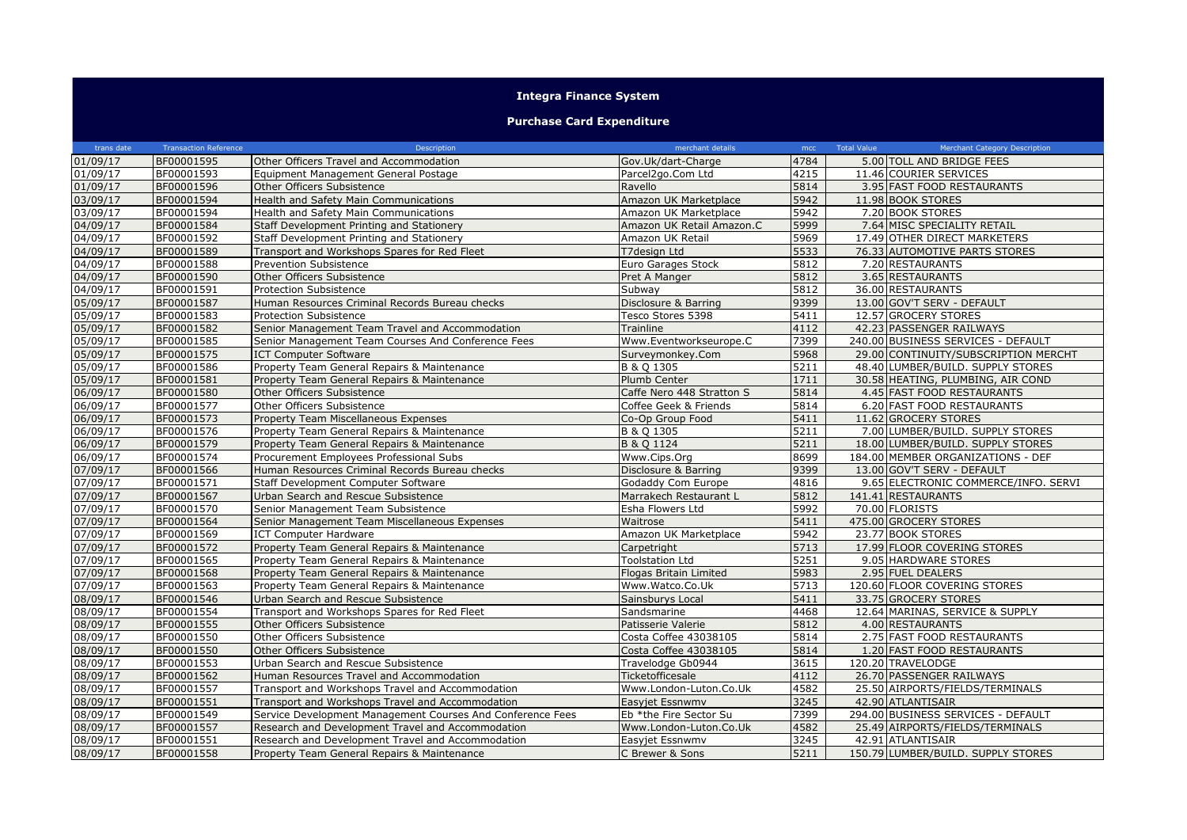## **Integra Finance System**

## **Purchase Card Expenditure**

| trans date            | <b>Transaction Reference</b> | Description                                                | merchant details          | mcc  | <b>Total Value</b><br><b>Merchant Category Description</b> |
|-----------------------|------------------------------|------------------------------------------------------------|---------------------------|------|------------------------------------------------------------|
| 01/09/17              | BF00001595                   | Other Officers Travel and Accommodation                    | Gov.Uk/dart-Charge        | 4784 | 5.00 TOLL AND BRIDGE FEES                                  |
| 01/09/17              | BF00001593                   | Equipment Management General Postage                       | Parcel2go.Com Ltd         | 4215 | 11.46 COURIER SERVICES                                     |
| 01/09/17              | BF00001596                   | Other Officers Subsistence                                 | Ravello                   | 5814 | 3.95 FAST FOOD RESTAURANTS                                 |
| 03/09/17              | BF00001594                   | Health and Safety Main Communications                      | Amazon UK Marketplace     | 5942 | 11.98 BOOK STORES                                          |
| 03/09/17              | BF00001594                   | Health and Safety Main Communications                      | Amazon UK Marketplace     | 5942 | 7.20 BOOK STORES                                           |
| 04/09/17              | BF00001584                   | Staff Development Printing and Stationery                  | Amazon UK Retail Amazon.C | 5999 | 7.64 MISC SPECIALITY RETAIL                                |
| 04/09/17              | BF00001592                   | Staff Development Printing and Stationery                  | Amazon UK Retail          | 5969 | 17.49 OTHER DIRECT MARKETERS                               |
| 04/09/17              | BF00001589                   | Transport and Workshops Spares for Red Fleet               | T7design Ltd              | 5533 | 76.33 AUTOMOTIVE PARTS STORES                              |
| 04/09/17              | BF00001588                   | Prevention Subsistence                                     | Euro Garages Stock        | 5812 | 7.20 RESTAURANTS                                           |
| 04/09/17              | BF00001590                   | Other Officers Subsistence                                 | Pret A Manger             | 5812 | 3.65 RESTAURANTS                                           |
| 04/09/17              | BF00001591                   | Protection Subsistence                                     | Subway                    | 5812 | 36.00 RESTAURANTS                                          |
| 05/09/17              | BF00001587                   | Human Resources Criminal Records Bureau checks             | Disclosure & Barring      | 9399 | 13.00 GOV'T SERV - DEFAULT                                 |
| 05/09/17              | BF00001583                   | <b>Protection Subsistence</b>                              | Tesco Stores 5398         | 5411 | 12.57 GROCERY STORES                                       |
| 05/09/17              | BF00001582                   | Senior Management Team Travel and Accommodation            | Trainline                 | 4112 | 42.23 PASSENGER RAILWAYS                                   |
| 05/09/17              | BF00001585                   | Senior Management Team Courses And Conference Fees         | Www.Eventworkseurope.C    | 7399 | 240.00 BUSINESS SERVICES - DEFAULT                         |
| 05/09/17              | BF00001575                   | <b>ICT Computer Software</b>                               | Surveymonkey.Com          | 5968 | 29.00 CONTINUITY/SUBSCRIPTION MERCHT                       |
| 05/09/17              | BF00001586                   | Property Team General Repairs & Maintenance                | B & Q 1305                | 5211 | 48.40 LUMBER/BUILD. SUPPLY STORES                          |
| 05/09/17              | BF00001581                   | Property Team General Repairs & Maintenance                | Plumb Center              | 1711 | 30.58 HEATING, PLUMBING, AIR COND                          |
| 06/09/17              | BF00001580                   | Other Officers Subsistence                                 | Caffe Nero 448 Stratton S | 5814 | 4.45 FAST FOOD RESTAURANTS                                 |
| $06/09/\overline{17}$ | BF00001577                   | Other Officers Subsistence                                 | Coffee Geek & Friends     | 5814 | 6.20 FAST FOOD RESTAURANTS                                 |
| 06/09/17              | BF00001573                   | Property Team Miscellaneous Expenses                       | Co-Op Group Food          | 5411 | 11.62 GROCERY STORES                                       |
| 06/09/17              | BF00001576                   | Property Team General Repairs & Maintenance                | B & Q 1305                | 5211 | 7.00 LUMBER/BUILD. SUPPLY STORES                           |
| 06/09/17              | BF00001579                   | Property Team General Repairs & Maintenance                | B & Q 1124                | 5211 | 18.00 LUMBER/BUILD. SUPPLY STORES                          |
| 06/09/17              | BF00001574                   | Procurement Employees Professional Subs                    | Www.Cips.Org              | 8699 | 184.00 MEMBER ORGANIZATIONS - DEF                          |
| 07/09/17              | BF00001566                   | Human Resources Criminal Records Bureau checks             | Disclosure & Barring      | 9399 | 13.00 GOV'T SERV - DEFAULT                                 |
| 07/09/17              | BF00001571                   | <b>Staff Development Computer Software</b>                 | Godaddy Com Europe        | 4816 | 9.65 ELECTRONIC COMMERCE/INFO. SERVI                       |
| 07/09/17              | BF00001567                   | Urban Search and Rescue Subsistence                        | Marrakech Restaurant L    | 5812 | 141.41 RESTAURANTS                                         |
| 07/09/17              | BF00001570                   | Senior Management Team Subsistence                         | Esha Flowers Ltd          | 5992 | 70.00 FLORISTS                                             |
| 07/09/17              | BF00001564                   | Senior Management Team Miscellaneous Expenses              | Waitrose                  | 5411 | 475.00 GROCERY STORES                                      |
| 07/09/17              | BF00001569                   | <b>ICT Computer Hardware</b>                               | Amazon UK Marketplace     | 5942 | 23.77 BOOK STORES                                          |
| 07/09/17              | BF00001572                   | Property Team General Repairs & Maintenance                | Carpetright               | 5713 | 17.99 FLOOR COVERING STORES                                |
| 07/09/17              | BF00001565                   | Property Team General Repairs & Maintenance                | <b>Toolstation Ltd</b>    | 5251 | 9.05 HARDWARE STORES                                       |
| 07/09/17              | BF00001568                   | Property Team General Repairs & Maintenance                | Flogas Britain Limited    | 5983 | 2.95 FUEL DEALERS                                          |
| 07/09/17              | BF00001563                   | Property Team General Repairs & Maintenance                | Www.Watco.Co.Uk           | 5713 | 120.60 FLOOR COVERING STORES                               |
| 08/09/17              | BF00001546                   | Urban Search and Rescue Subsistence                        | Sainsburys Local          | 5411 | 33.75 GROCERY STORES                                       |
| 08/09/17              | BF00001554                   | Transport and Workshops Spares for Red Fleet               | Sandsmarine               | 4468 | 12.64 MARINAS, SERVICE & SUPPLY                            |
| 08/09/17              | BF00001555                   | Other Officers Subsistence                                 | Patisserie Valerie        | 5812 | 4.00 RESTAURANTS                                           |
| 08/09/17              | BF00001550                   | Other Officers Subsistence                                 | Costa Coffee 43038105     | 5814 | 2.75 FAST FOOD RESTAURANTS                                 |
| 08/09/17              | BF00001550                   | Other Officers Subsistence                                 | Costa Coffee 43038105     | 5814 | 1.20 FAST FOOD RESTAURANTS                                 |
| 08/09/17              | BF00001553                   | Urban Search and Rescue Subsistence                        | Travelodge Gb0944         | 3615 | 120.20 TRAVELODGE                                          |
| 08/09/17              | BF00001562                   | Human Resources Travel and Accommodation                   | Ticketofficesale          | 4112 | 26.70 PASSENGER RAILWAYS                                   |
| 08/09/17              | BF00001557                   | Transport and Workshops Travel and Accommodation           | Www.London-Luton.Co.Uk    | 4582 | 25.50 AIRPORTS/FIELDS/TERMINALS                            |
| 08/09/17              | BF00001551                   | Transport and Workshops Travel and Accommodation           | Easyjet Essnwmv           | 3245 | 42.90 ATLANTISAIR                                          |
| 08/09/17              | BF00001549                   | Service Development Management Courses And Conference Fees | Eb *the Fire Sector Su    | 7399 | 294.00 BUSINESS SERVICES - DEFAULT                         |
| 08/09/17              | BF00001557                   | Research and Development Travel and Accommodation          | Www.London-Luton.Co.Uk    | 4582 | 25.49 AIRPORTS/FIELDS/TERMINALS                            |
| 08/09/17              | BF00001551                   | Research and Development Travel and Accommodation          | Easyjet Essnwmv           | 3245 | 42.91 ATLANTISAIR                                          |
| 08/09/17              | BF00001558                   | Property Team General Repairs & Maintenance                | C Brewer & Sons           | 5211 | 150.79 LUMBER/BUILD. SUPPLY STORES                         |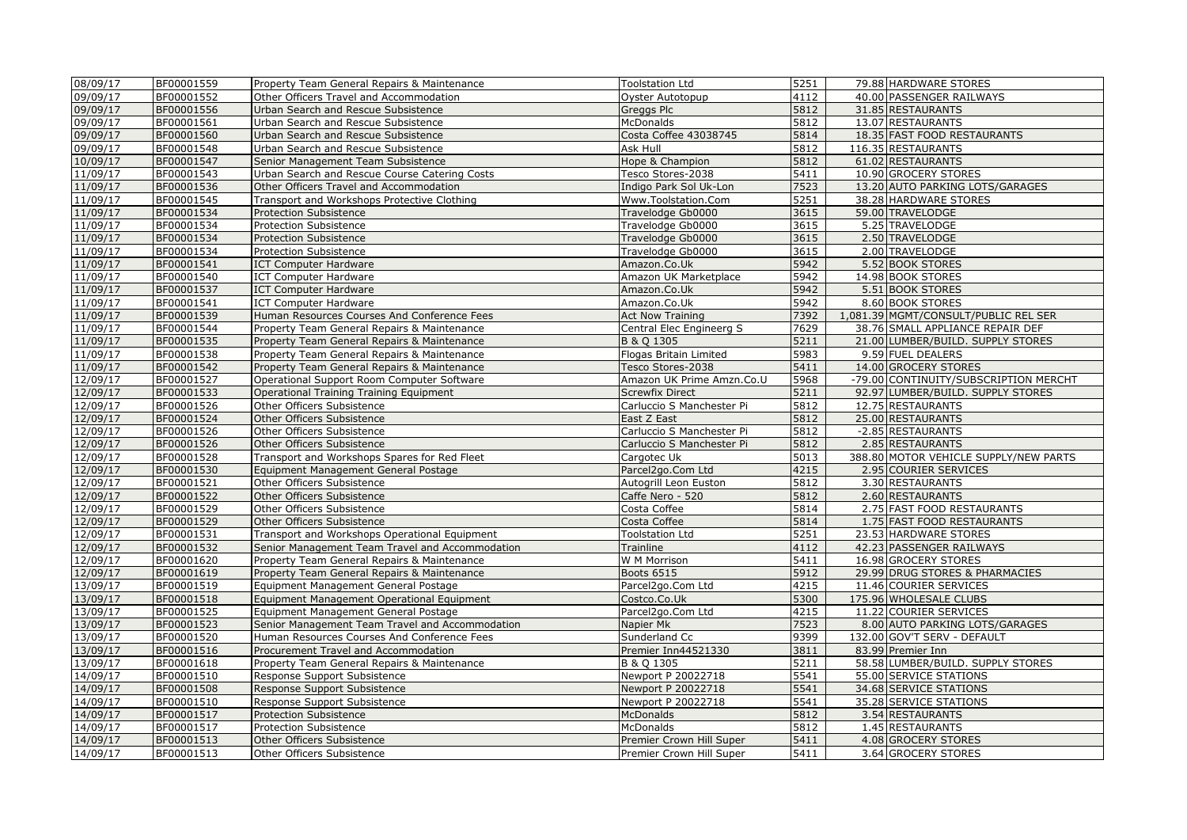| 08/09/17             | BF00001559 | Property Team General Repairs & Maintenance     | <b>Toolstation Ltd</b>                 | 5251 | 79.88 HARDWARE STORES                                    |
|----------------------|------------|-------------------------------------------------|----------------------------------------|------|----------------------------------------------------------|
| 09/09/17             | BF00001552 | Other Officers Travel and Accommodation         | Oyster Autotopup                       | 4112 | 40.00 PASSENGER RAILWAYS                                 |
| 09/09/17             | BF00001556 | Urban Search and Rescue Subsistence             | Greggs Plc                             | 5812 | 31.85 RESTAURANTS                                        |
| 09/09/17             | BF00001561 | Urban Search and Rescue Subsistence             | <b>McDonalds</b>                       | 5812 | 13.07 RESTAURANTS                                        |
| 09/09/17             | BF00001560 | Urban Search and Rescue Subsistence             | Costa Coffee 43038745                  | 5814 | 18.35 FAST FOOD RESTAURANTS                              |
| 09/09/17             | BF00001548 | Urban Search and Rescue Subsistence             | Ask Hull                               | 5812 | 116.35 RESTAURANTS                                       |
| 10/09/17             | BF00001547 | Senior Management Team Subsistence              | Hope & Champion                        | 5812 | 61.02 RESTAURANTS                                        |
| 11/09/17             | BF00001543 | Urban Search and Rescue Course Catering Costs   | Tesco Stores-2038                      | 5411 | 10.90 GROCERY STORES                                     |
| 11/09/17             | BF00001536 | Other Officers Travel and Accommodation         | Indigo Park Sol Uk-Lon                 | 7523 | 13.20 AUTO PARKING LOTS/GARAGES                          |
| 11/09/17             | BF00001545 | Transport and Workshops Protective Clothing     | Www.Toolstation.Com                    | 5251 | 38.28 HARDWARE STORES                                    |
| 11/09/17             | BF00001534 | Protection Subsistence                          | Travelodge Gb0000                      | 3615 | 59.00 TRAVELODGE                                         |
| 11/09/17             | BF00001534 | Protection Subsistence                          | Travelodge Gb0000                      | 3615 | 5.25 TRAVELODGE                                          |
| 11/09/17             | BF00001534 | Protection Subsistence                          | Travelodge Gb0000                      | 3615 | 2.50 TRAVELODGE                                          |
| 11/09/17             | BF00001534 | Protection Subsistence                          | Travelodge Gb0000                      | 3615 | 2.00 TRAVELODGE                                          |
| 11/09/17             | BF00001541 | <b>ICT Computer Hardware</b>                    | Amazon.Co.Uk                           | 5942 | 5.52 BOOK STORES                                         |
| 11/09/17             | BF00001540 | <b>ICT Computer Hardware</b>                    | Amazon UK Marketplace                  | 5942 | 14.98 BOOK STORES                                        |
| 11/09/17             | BF00001537 | <b>ICT Computer Hardware</b>                    | Amazon.Co.Uk                           | 5942 | 5.51 BOOK STORES                                         |
| 11/09/17             | BF00001541 | <b>ICT Computer Hardware</b>                    | Amazon.Co.Uk                           | 5942 | 8.60 BOOK STORES                                         |
| 11/09/17             | BF00001539 | Human Resources Courses And Conference Fees     | <b>Act Now Training</b>                | 7392 | 1,081.39 MGMT/CONSULT/PUBLIC REL SER                     |
| 11/09/17             | BF00001544 | Property Team General Repairs & Maintenance     | Central Elec Engineerg S               | 7629 | 38.76 SMALL APPLIANCE REPAIR DEF                         |
| 11/09/17             | BF00001535 | Property Team General Repairs & Maintenance     | B & Q 1305                             | 5211 | 21.00 LUMBER/BUILD. SUPPLY STORES                        |
| 11/09/17             | BF00001538 | Property Team General Repairs & Maintenance     | Flogas Britain Limited                 | 5983 | 9.59 FUEL DEALERS                                        |
| 11/09/17             | BF00001542 | Property Team General Repairs & Maintenance     | Tesco Stores-2038                      | 5411 | 14.00 GROCERY STORES                                     |
| 12/09/17             | BF00001527 | Operational Support Room Computer Software      | Amazon UK Prime Amzn.Co.U              | 5968 | -79.00 CONTINUITY/SUBSCRIPTION MERCHT                    |
| 12/09/17             | BF00001533 | Operational Training Training Equipment         | <b>Screwfix Direct</b>                 | 5211 | 92.97 LUMBER/BUILD. SUPPLY STORES                        |
| 12/09/17             | BF00001526 | Other Officers Subsistence                      | Carluccio S Manchester Pi              | 5812 | 12.75 RESTAURANTS                                        |
| 12/09/17             | BF00001524 | Other Officers Subsistence                      | East Z East                            | 5812 | 25.00 RESTAURANTS                                        |
| 12/09/17             | BF00001526 | Other Officers Subsistence                      | Carluccio S Manchester Pi              | 5812 | -2.85 RESTAURANTS                                        |
| 12/09/17             | BF00001526 | Other Officers Subsistence                      | Carluccio S Manchester Pi              | 5812 | 2.85 RESTAURANTS                                         |
| 12/09/17             | BF00001528 | Transport and Workshops Spares for Red Fleet    | Cargotec Uk                            | 5013 | 388.80 MOTOR VEHICLE SUPPLY/NEW PARTS                    |
| 12/09/17             | BF00001530 | Equipment Management General Postage            | Parcel2go.Com Ltd                      | 4215 | 2.95 COURIER SERVICES                                    |
| 12/09/17             | BF00001521 | Other Officers Subsistence                      | Autogrill Leon Euston                  | 5812 | 3.30 RESTAURANTS                                         |
| 12/09/17             | BF00001522 | Other Officers Subsistence                      | Caffe Nero - 520                       | 5812 | 2.60 RESTAURANTS                                         |
| 12/09/17             | BF00001529 | Other Officers Subsistence                      | Costa Coffee                           | 5814 | 2.75 FAST FOOD RESTAURANTS                               |
| 12/09/17             | BF00001529 | Other Officers Subsistence                      | Costa Coffee                           | 5814 | 1.75 FAST FOOD RESTAURANTS                               |
| 12/09/17             | BF00001531 |                                                 | <b>Toolstation Ltd</b>                 | 5251 | 23.53 HARDWARE STORES                                    |
| 12/09/17             | BF00001532 | Transport and Workshops Operational Equipment   | Trainline                              | 4112 | 42.23 PASSENGER RAILWAYS                                 |
| 12/09/17             | BF00001620 | Senior Management Team Travel and Accommodation | W M Morrison                           | 5411 | 16.98 GROCERY STORES                                     |
|                      | BF00001619 | Property Team General Repairs & Maintenance     |                                        | 5912 |                                                          |
| 12/09/17<br>13/09/17 | BF00001519 | Property Team General Repairs & Maintenance     | <b>Boots 6515</b><br>Parcel2go.Com Ltd | 4215 | 29.99 DRUG STORES & PHARMACIES<br>11.46 COURIER SERVICES |
| 13/09/17             | BF00001518 | Equipment Management General Postage            | Costco.Co.Uk                           | 5300 | 175.96 WHOLESALE CLUBS                                   |
| 13/09/17             | BF00001525 | Equipment Management Operational Equipment      |                                        | 4215 | 11.22 COURIER SERVICES                                   |
|                      |            | Equipment Management General Postage            | Parcel2go.Com Ltd                      | 7523 |                                                          |
| 13/09/17             | BF00001523 | Senior Management Team Travel and Accommodation | Napier Mk                              |      | 8.00 AUTO PARKING LOTS/GARAGES                           |
| 13/09/17             | BF00001520 | Human Resources Courses And Conference Fees     | Sunderland Cc                          | 9399 | 132.00 GOV'T SERV - DEFAULT                              |
| 13/09/17             | BF00001516 | Procurement Travel and Accommodation            | Premier Inn44521330                    | 3811 | 83.99 Premier Inn                                        |
| 13/09/17             | BF00001618 | Property Team General Repairs & Maintenance     | B & Q 1305                             | 5211 | 58.58 LUMBER/BUILD. SUPPLY STORES                        |
| 14/09/17             | BF00001510 | Response Support Subsistence                    | Newport P 20022718                     | 5541 | 55.00 SERVICE STATIONS                                   |
| 14/09/17             | BF00001508 | Response Support Subsistence                    | Newport P 20022718                     | 5541 | 34.68 SERVICE STATIONS                                   |
| 14/09/17             | BF00001510 | Response Support Subsistence                    | Newport P 20022718                     | 5541 | 35.28 SERVICE STATIONS                                   |
| 14/09/17             | BF00001517 | Protection Subsistence                          | <b>McDonalds</b>                       | 5812 | 3.54 RESTAURANTS                                         |
| 14/09/17             | BF00001517 | Protection Subsistence                          | <b>McDonalds</b>                       | 5812 | 1.45 RESTAURANTS                                         |
| 14/09/17             | BF00001513 | Other Officers Subsistence                      | Premier Crown Hill Super               | 5411 | 4.08 GROCERY STORES                                      |
| 14/09/17             | BF00001513 | Other Officers Subsistence                      | Premier Crown Hill Super               | 5411 | 3.64 GROCERY STORES                                      |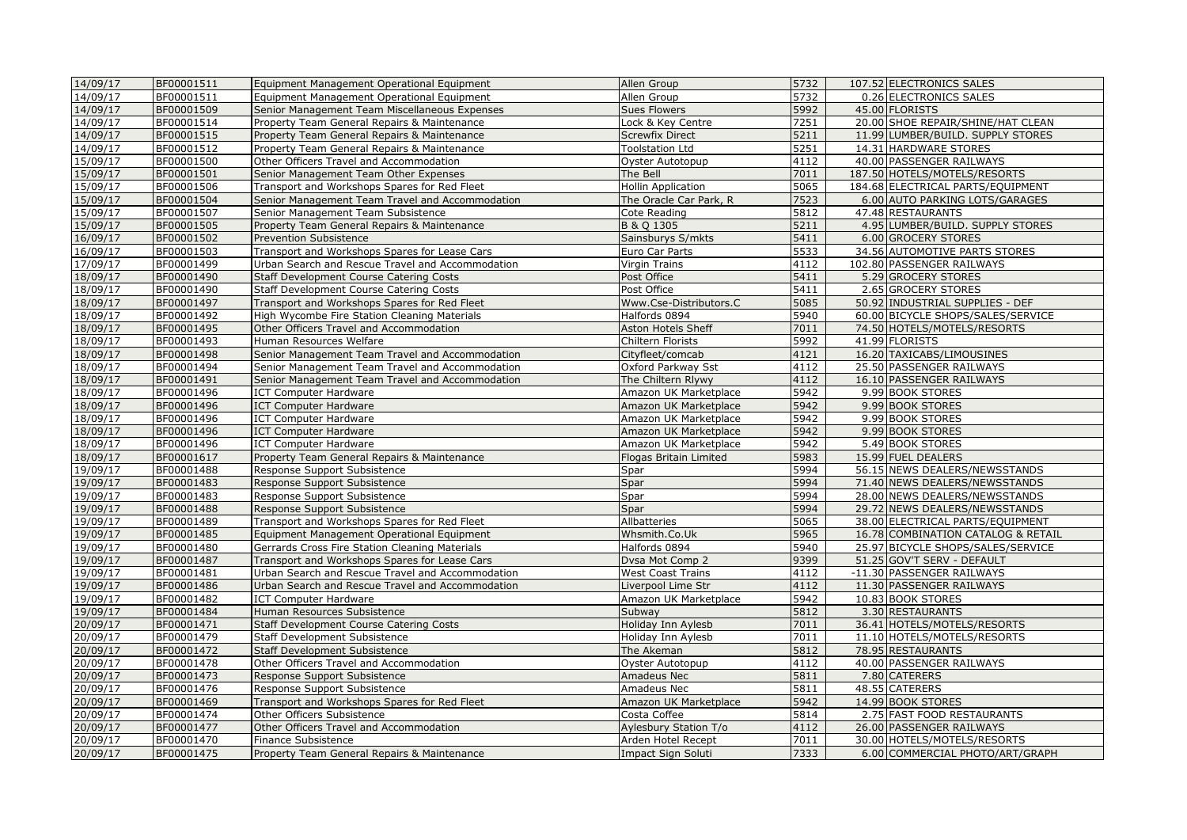| 14/09/17 | BF00001511 | Equipment Management Operational Equipment       | Allen Group               | 5732 | 107.52 ELECTRONICS SALES           |
|----------|------------|--------------------------------------------------|---------------------------|------|------------------------------------|
| 14/09/17 | BF00001511 | Equipment Management Operational Equipment       | Allen Group               | 5732 | 0.26 ELECTRONICS SALES             |
| 14/09/17 | BF00001509 | Senior Management Team Miscellaneous Expenses    | <b>Sues Flowers</b>       | 5992 | 45.00 FLORISTS                     |
| 14/09/17 | BF00001514 | Property Team General Repairs & Maintenance      | Lock & Key Centre         | 7251 | 20.00 SHOE REPAIR/SHINE/HAT CLEAN  |
| 14/09/17 | BF00001515 | Property Team General Repairs & Maintenance      | <b>Screwfix Direct</b>    | 5211 | 11.99 LUMBER/BUILD. SUPPLY STORES  |
| 14/09/17 | BF00001512 | Property Team General Repairs & Maintenance      | <b>Toolstation Ltd</b>    | 5251 | 14.31 HARDWARE STORES              |
| 15/09/17 | BF00001500 | Other Officers Travel and Accommodation          | Oyster Autotopup          | 4112 | 40.00 PASSENGER RAILWAYS           |
| 15/09/17 | BF00001501 | Senior Management Team Other Expenses            | The Bell                  | 7011 | 187.50 HOTELS/MOTELS/RESORTS       |
| 15/09/17 | BF00001506 | Transport and Workshops Spares for Red Fleet     | <b>Hollin Application</b> | 5065 | 184.68 ELECTRICAL PARTS/EQUIPMENT  |
| 15/09/17 | BF00001504 | Senior Management Team Travel and Accommodation  | The Oracle Car Park, R    | 7523 | 6.00 AUTO PARKING LOTS/GARAGES     |
| 15/09/17 | BF00001507 | Senior Management Team Subsistence               | Cote Reading              | 5812 | 47.48 RESTAURANTS                  |
| 15/09/17 | BF00001505 | Property Team General Repairs & Maintenance      | B & Q 1305                | 5211 | 4.95 LUMBER/BUILD. SUPPLY STORES   |
| 16/09/17 | BF00001502 | Prevention Subsistence                           | Sainsburys S/mkts         | 5411 | 6.00 GROCERY STORES                |
| 16/09/17 | BF00001503 | Transport and Workshops Spares for Lease Cars    | Euro Car Parts            | 5533 | 34.56 AUTOMOTIVE PARTS STORES      |
| 17/09/17 | BF00001499 | Urban Search and Rescue Travel and Accommodation | Virgin Trains             | 4112 | 102.80 PASSENGER RAILWAYS          |
| 18/09/17 | BF00001490 | Staff Development Course Catering Costs          | Post Office               | 5411 | 5.29 GROCERY STORES                |
| 18/09/17 | BF00001490 | Staff Development Course Catering Costs          | Post Office               | 5411 | 2.65 GROCERY STORES                |
| 18/09/17 | BF00001497 | Transport and Workshops Spares for Red Fleet     | Www.Cse-Distributors.C    | 5085 | 50.92 INDUSTRIAL SUPPLIES - DEF    |
| 18/09/17 | BF00001492 | High Wycombe Fire Station Cleaning Materials     | Halfords 0894             | 5940 | 60.00 BICYCLE SHOPS/SALES/SERVICE  |
| 18/09/17 | BF00001495 | Other Officers Travel and Accommodation          | Aston Hotels Sheff        | 7011 | 74.50 HOTELS/MOTELS/RESORTS        |
| 18/09/17 | BF00001493 | Human Resources Welfare                          | Chiltern Florists         | 5992 | 41.99 FLORISTS                     |
| 18/09/17 | BF00001498 | Senior Management Team Travel and Accommodation  | Cityfleet/comcab          | 4121 | 16.20 TAXICABS/LIMOUSINES          |
| 18/09/17 | BF00001494 | Senior Management Team Travel and Accommodation  | Oxford Parkway Sst        | 4112 | 25.50 PASSENGER RAILWAYS           |
| 18/09/17 | BF00001491 | Senior Management Team Travel and Accommodation  | The Chiltern Rlywy        | 4112 | 16.10 PASSENGER RAILWAYS           |
| 18/09/17 | BF00001496 | <b>ICT Computer Hardware</b>                     | Amazon UK Marketplace     | 5942 | 9.99 BOOK STORES                   |
| 18/09/17 | BF00001496 | <b>ICT Computer Hardware</b>                     | Amazon UK Marketplace     | 5942 | 9.99 BOOK STORES                   |
| 18/09/17 | BF00001496 | <b>ICT Computer Hardware</b>                     | Amazon UK Marketplace     | 5942 | 9.99 BOOK STORES                   |
| 18/09/17 | BF00001496 | <b>ICT Computer Hardware</b>                     | Amazon UK Marketplace     | 5942 | 9.99 BOOK STORES                   |
| 18/09/17 | BF00001496 | <b>ICT Computer Hardware</b>                     | Amazon UK Marketplace     | 5942 | 5.49 BOOK STORES                   |
| 18/09/17 | BF00001617 | Property Team General Repairs & Maintenance      | Flogas Britain Limited    | 5983 | 15.99 FUEL DEALERS                 |
| 19/09/17 | BF00001488 | Response Support Subsistence                     | Spar                      | 5994 | 56.15 NEWS DEALERS/NEWSSTANDS      |
| 19/09/17 | BF00001483 | Response Support Subsistence                     | Spar                      | 5994 | 71.40 NEWS DEALERS/NEWSSTANDS      |
| 19/09/17 | BF00001483 | Response Support Subsistence                     | Spar                      | 5994 | 28.00 NEWS DEALERS/NEWSSTANDS      |
| 19/09/17 | BF00001488 | Response Support Subsistence                     | Spar                      | 5994 | 29.72 NEWS DEALERS/NEWSSTANDS      |
| 19/09/17 | BF00001489 | Transport and Workshops Spares for Red Fleet     | Allbatteries              | 5065 | 38.00 ELECTRICAL PARTS/EQUIPMENT   |
| 19/09/17 | BF00001485 | Equipment Management Operational Equipment       | Whsmith.Co.Uk             | 5965 | 16.78 COMBINATION CATALOG & RETAIL |
| 19/09/17 | BF00001480 | Gerrards Cross Fire Station Cleaning Materials   | Halfords 0894             | 5940 | 25.97 BICYCLE SHOPS/SALES/SERVICE  |
| 19/09/17 | BF00001487 | Transport and Workshops Spares for Lease Cars    | Dvsa Mot Comp 2           | 9399 | 51.25 GOV'T SERV - DEFAULT         |
| 19/09/17 | BF00001481 | Urban Search and Rescue Travel and Accommodation | <b>West Coast Trains</b>  | 4112 | -11.30 PASSENGER RAILWAYS          |
| 19/09/17 | BF00001486 | Urban Search and Rescue Travel and Accommodation | Liverpool Lime Str        | 4112 | 11.30 PASSENGER RAILWAYS           |
| 19/09/17 | BF00001482 | <b>ICT Computer Hardware</b>                     | Amazon UK Marketplace     | 5942 | 10.83 BOOK STORES                  |
| 19/09/17 | BF00001484 | Human Resources Subsistence                      | Subway                    | 5812 | 3.30 RESTAURANTS                   |
| 20/09/17 | BF00001471 | <b>Staff Development Course Catering Costs</b>   | Holiday Inn Aylesb        | 7011 | 36.41 HOTELS/MOTELS/RESORTS        |
| 20/09/17 | BF00001479 | <b>Staff Development Subsistence</b>             | Holiday Inn Aylesb        | 7011 | 11.10 HOTELS/MOTELS/RESORTS        |
| 20/09/17 | BF00001472 | Staff Development Subsistence                    | The Akeman                | 5812 | 78.95 RESTAURANTS                  |
| 20/09/17 | BF00001478 | Other Officers Travel and Accommodation          | Oyster Autotopup          | 4112 | 40.00 PASSENGER RAILWAYS           |
| 20/09/17 | BF00001473 | Response Support Subsistence                     | Amadeus Nec               | 5811 | 7.80 CATERERS                      |
| 20/09/17 | BF00001476 | Response Support Subsistence                     | Amadeus Nec               | 5811 | 48.55 CATERERS                     |
| 20/09/17 | BF00001469 | Transport and Workshops Spares for Red Fleet     | Amazon UK Marketplace     | 5942 | 14.99 BOOK STORES                  |
| 20/09/17 | BF00001474 | Other Officers Subsistence                       | Costa Coffee              | 5814 | 2.75 FAST FOOD RESTAURANTS         |
| 20/09/17 | BF00001477 | Other Officers Travel and Accommodation          | Aylesbury Station T/o     | 4112 | 26.00 PASSENGER RAILWAYS           |
| 20/09/17 | BF00001470 | Finance Subsistence                              | Arden Hotel Recept        | 7011 | 30.00 HOTELS/MOTELS/RESORTS        |
| 20/09/17 | BF00001475 | Property Team General Repairs & Maintenance      | Impact Sign Soluti        | 7333 | 6.00 COMMERCIAL PHOTO/ART/GRAPH    |